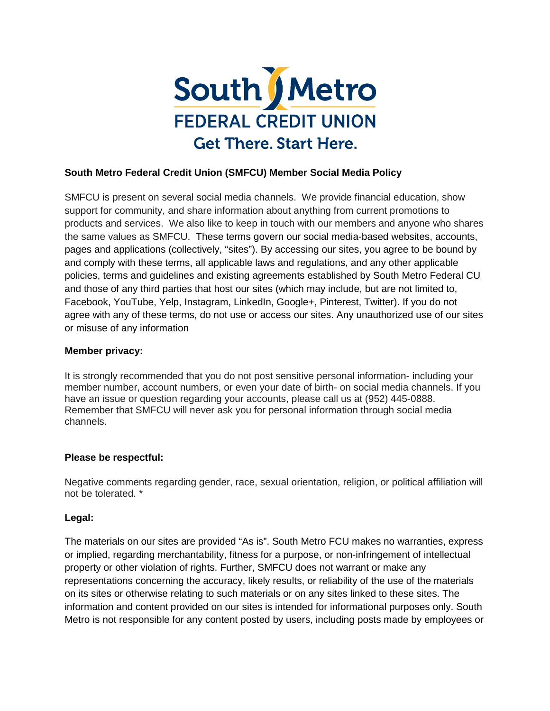

## **South Metro Federal Credit Union (SMFCU) Member Social Media Policy**

SMFCU is present on several social media channels. We provide financial education, show support for community, and share information about anything from current promotions to products and services. We also like to keep in touch with our members and anyone who shares the same values as SMFCU. These terms govern our social media-based websites, accounts, pages and applications (collectively, "sites"). By accessing our sites, you agree to be bound by and comply with these terms, all applicable laws and regulations, and any other applicable policies, terms and guidelines and existing agreements established by South Metro Federal CU and those of any third parties that host our sites (which may include, but are not limited to, Facebook, YouTube, Yelp, Instagram, LinkedIn, Google+, Pinterest, Twitter). If you do not agree with any of these terms, do not use or access our sites. Any unauthorized use of our sites or misuse of any information

## **Member privacy:**

It is strongly recommended that you do not post sensitive personal information- including your member number, account numbers, or even your date of birth- on social media channels. If you have an issue or question regarding your accounts, please call us at (952) 445-0888. Remember that SMFCU will never ask you for personal information through social media channels.

## **Please be respectful:**

Negative comments regarding gender, race, sexual orientation, religion, or political affiliation will not be tolerated. \*

## **Legal:**

The materials on our sites are provided "As is". South Metro FCU makes no warranties, express or implied, regarding merchantability, fitness for a purpose, or non-infringement of intellectual property or other violation of rights. Further, SMFCU does not warrant or make any representations concerning the accuracy, likely results, or reliability of the use of the materials on its sites or otherwise relating to such materials or on any sites linked to these sites. The information and content provided on our sites is intended for informational purposes only. South Metro is not responsible for any content posted by users, including posts made by employees or